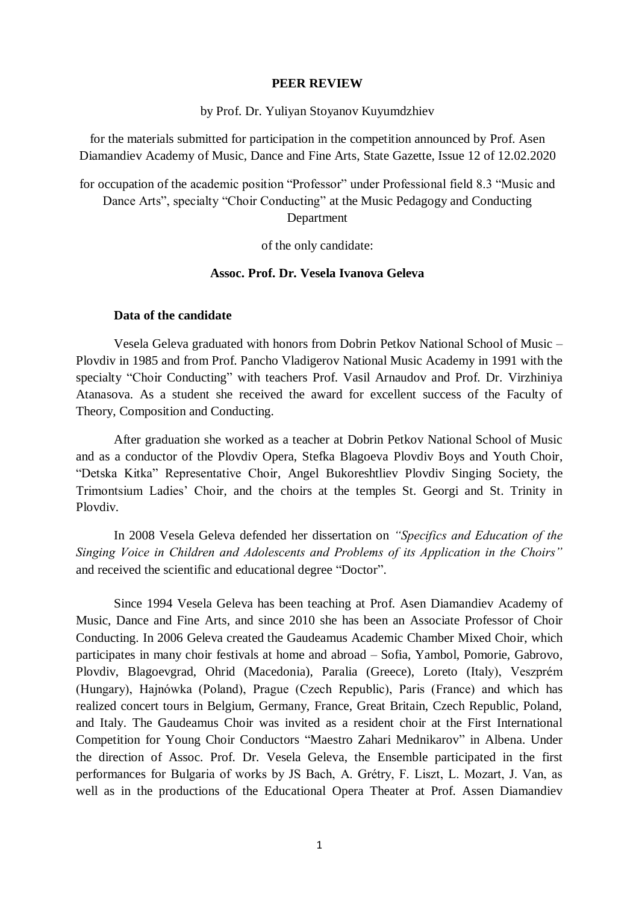### **PEER REVIEW**

by Prof. Dr. Yuliyan Stoyanov Kuyumdzhiev

for the materials submitted for participation in the competition announced by Prof. Asen Diamandiev Academy of Music, Dance and Fine Arts, State Gazette, Issue 12 of 12.02.2020

for occupation of the academic position "Professor" under Professional field 8.3 "Music and Dance Arts", specialty "Choir Conducting" at the Music Pedagogy and Conducting Department

of the only candidate:

### **Assoc. Prof. Dr. Vesela Ivanova Geleva**

## **Data of the candidate**

Vesela Geleva graduated with honors from Dobrin Petkov National School of Music – Plovdiv in 1985 and from Prof. Pancho Vladigerov National Music Academy in 1991 with the specialty "Choir Conducting" with teachers Prof. Vasil Arnaudov and Prof. Dr. Virzhiniya Atanasova. As a student she received the award for excellent success of the Faculty of Theory, Composition and Conducting.

After graduation she worked as a teacher at Dobrin Petkov National School of Music and as a conductor of the Plovdiv Opera, Stefka Blagoeva Plovdiv Boys and Youth Choir, "Detska Kitka" Representative Choir, Angel Bukoreshtliev Plovdiv Singing Society, the Trimontsium Ladies' Choir, and the choirs at the temples St. Georgi and St. Trinity in Plovdiv.

In 2008 Vesela Geleva defended her dissertation on *"Specifics and Education of the Singing Voice in Children and Adolescents and Problems of its Application in the Choirs"* and received the scientific and educational degree "Doctor".

Since 1994 Vesela Geleva has been teaching at Prof. Asen Diamandiev Academy of Music, Dance and Fine Arts, and since 2010 she has been an Associate Professor of Choir Conducting. In 2006 Geleva created the Gaudeamus Academic Chamber Mixed Choir, which participates in many choir festivals at home and abroad – Sofia, Yambol, Pomorie, Gabrovo, Plovdiv, Blagoevgrad, Ohrid (Macedonia), Paralia (Greece), Loreto (Italy), Veszprém (Hungary), Hajnówka (Poland), Prague (Czech Republic), Paris (France) and which has realized concert tours in Belgium, Germany, France, Great Britain, Czech Republic, Poland, and Italy. The Gaudeamus Choir was invited as a resident choir at the First International Competition for Young Choir Conductors "Maestro Zahari Mednikarov" in Albena. Under the direction of Assoc. Prof. Dr. Vesela Geleva, the Ensemble participated in the first performances for Bulgaria of works by JS Bach, A. Grétry, F. Liszt, L. Mozart, J. Van, as well as in the productions of the Educational Opera Theater at Prof. Assen Diamandiev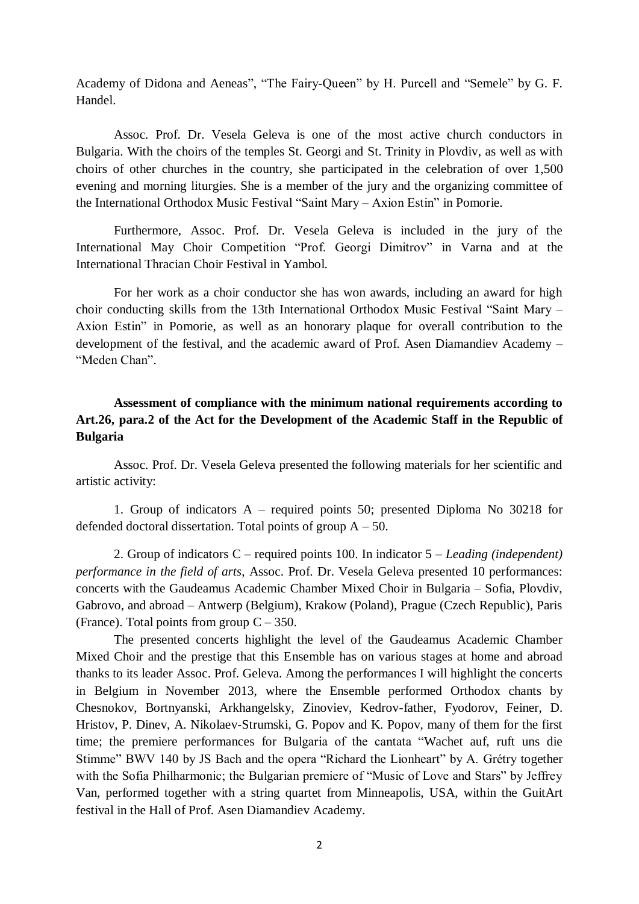Academy of Didona and Aeneas", "The Fairy-Queen" by H. Purcell and "Semele" by G. F. Handel.

Assoc. Prof. Dr. Vesela Geleva is one of the most active church conductors in Bulgaria. With the choirs of the temples St. Georgi and St. Trinity in Plovdiv, as well as with choirs of other churches in the country, she participated in the celebration of over 1,500 evening and morning liturgies. She is a member of the jury and the organizing committee of the International Orthodox Music Festival "Saint Mary – Axion Estin" in Pomorie.

Furthermore, Assoc. Prof. Dr. Vesela Geleva is included in the jury of the International May Choir Competition "Prof. Georgi Dimitrov" in Varna and at the International Thracian Choir Festival in Yambol.

For her work as a choir conductor she has won awards, including an award for high choir conducting skills from the 13th International Orthodox Music Festival "Saint Mary – Axion Estin" in Pomorie, as well as an honorary plaque for overall contribution to the development of the festival, and the academic award of Prof. Asen Diamandiev Academy – "Meden Chan".

# **Assessment of compliance with the minimum national requirements according to Art.26, para.2 of the Act for the Development of the Academic Staff in the Republic of Bulgaria**

Assoc. Prof. Dr. Vesela Geleva presented the following materials for her scientific and artistic activity:

1. Group of indicators A – required points 50; presented Diploma No 30218 for defended doctoral dissertation. Total points of group  $A - 50$ .

2. Group of indicators C – required points 100. In indicator 5 – *Leading (independent) performance in the field of arts*, Assoc. Prof. Dr. Vesela Geleva presented 10 performances: concerts with the Gaudeamus Academic Chamber Mixed Choir in Bulgaria – Sofia, Plovdiv, Gabrovo, and abroad – Antwerp (Belgium), Krakow (Poland), Prague (Czech Republic), Paris (France). Total points from group  $C - 350$ .

The presented concerts highlight the level of the Gaudeamus Academic Chamber Mixed Choir and the prestige that this Ensemble has on various stages at home and abroad thanks to its leader Assoc. Prof. Geleva. Among the performances I will highlight the concerts in Belgium in November 2013, where the Ensemble performed Orthodox chants by Chesnokov, Bortnyanski, Arkhangelsky, Zinoviev, Kedrov-father, Fyodorov, Feiner, D. Hristov, P. Dinev, A. Nikolaev-Strumski, G. Popov and K. Popov, many of them for the first time; the premiere performances for Bulgaria of the cantata "Wachet auf, ruft uns die Stimme" BWV 140 by JS Bach and the opera "Richard the Lionheart" by A. Grétry together with the Sofia Philharmonic; the Bulgarian premiere of "Music of Love and Stars" by Jeffrey Van, performed together with a string quartet from Minneapolis, USA, within the GuitArt festival in the Hall of Prof. Asen Diamandiev Academy.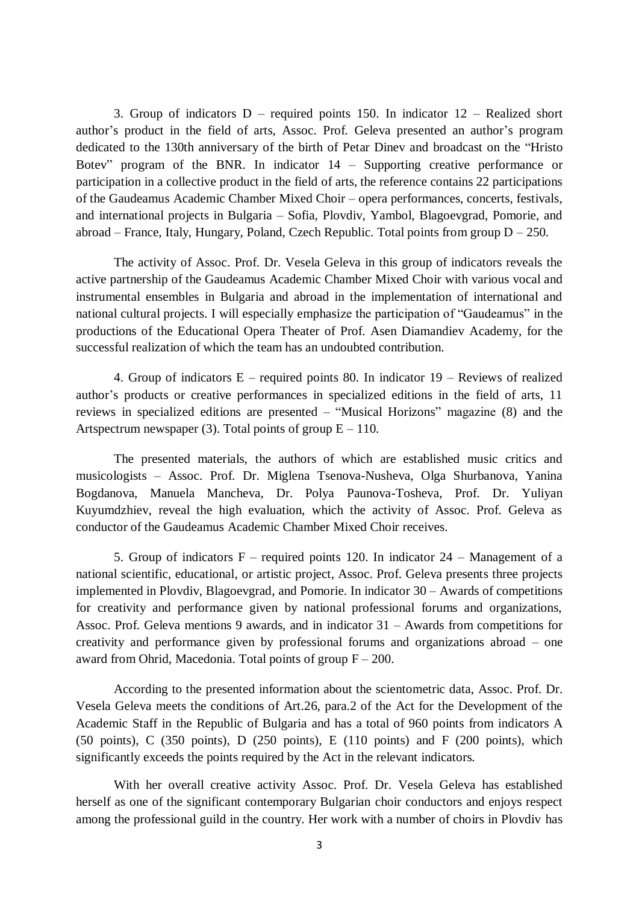3. Group of indicators D – required points 150. In indicator 12 – Realized short author's product in the field of arts, Assoc. Prof. Geleva presented an author's program dedicated to the 130th anniversary of the birth of Petar Dinev and broadcast on the "Hristo Botev" program of the BNR. In indicator 14 – Supporting creative performance or participation in a collective product in the field of arts, the reference contains 22 participations of the Gaudeamus Academic Chamber Mixed Choir – opera performances, concerts, festivals, and international projects in Bulgaria – Sofia, Plovdiv, Yambol, Blagoevgrad, Pomorie, and abroad – France, Italy, Hungary, Poland, Czech Republic. Total points from group  $D - 250$ .

The activity of Assoc. Prof. Dr. Vesela Geleva in this group of indicators reveals the active partnership of the Gaudeamus Academic Chamber Mixed Choir with various vocal and instrumental ensembles in Bulgaria and abroad in the implementation of international and national cultural projects. I will especially emphasize the participation of "Gaudeamus" in the productions of the Educational Opera Theater of Prof. Asen Diamandiev Academy, for the successful realization of which the team has an undoubted contribution.

4. Group of indicators E – required points 80. In indicator 19 – Reviews of realized author's products or creative performances in specialized editions in the field of arts, 11 reviews in specialized editions are presented – "Musical Horizons" magazine (8) and the Artspectrum newspaper (3). Total points of group  $E - 110$ .

The presented materials, the authors of which are established music critics and musicologists – Assoc. Prof. Dr. Miglena Tsenova-Nusheva, Olga Shurbanova, Yanina Bogdanova, Manuela Mancheva, Dr. Polya Paunova-Tosheva, Prof. Dr. Yuliyan Kuyumdzhiev, reveal the high evaluation, which the activity of Assoc. Prof. Geleva as conductor of the Gaudeamus Academic Chamber Mixed Choir receives.

5. Group of indicators F – required points 120. In indicator 24 – Management of a national scientific, educational, or artistic project, Assoc. Prof. Geleva presents three projects implemented in Plovdiv, Blagoevgrad, and Pomorie. In indicator 30 – Awards of competitions for creativity and performance given by national professional forums and organizations, Assoc. Prof. Geleva mentions 9 awards, and in indicator 31 – Awards from competitions for creativity and performance given by professional forums and organizations abroad – one award from Ohrid, Macedonia. Total points of group  $F - 200$ .

According to the presented information about the scientometric data, Assoc. Prof. Dr. Vesela Geleva meets the conditions of Art.26, para.2 of the Act for the Development of the Academic Staff in the Republic of Bulgaria and has a total of 960 points from indicators A (50 points), C (350 points), D (250 points), E (110 points) and F (200 points), which significantly exceeds the points required by the Act in the relevant indicators.

With her overall creative activity Assoc. Prof. Dr. Vesela Geleva has established herself as one of the significant contemporary Bulgarian choir conductors and enjoys respect among the professional guild in the country. Her work with a number of choirs in Plovdiv has